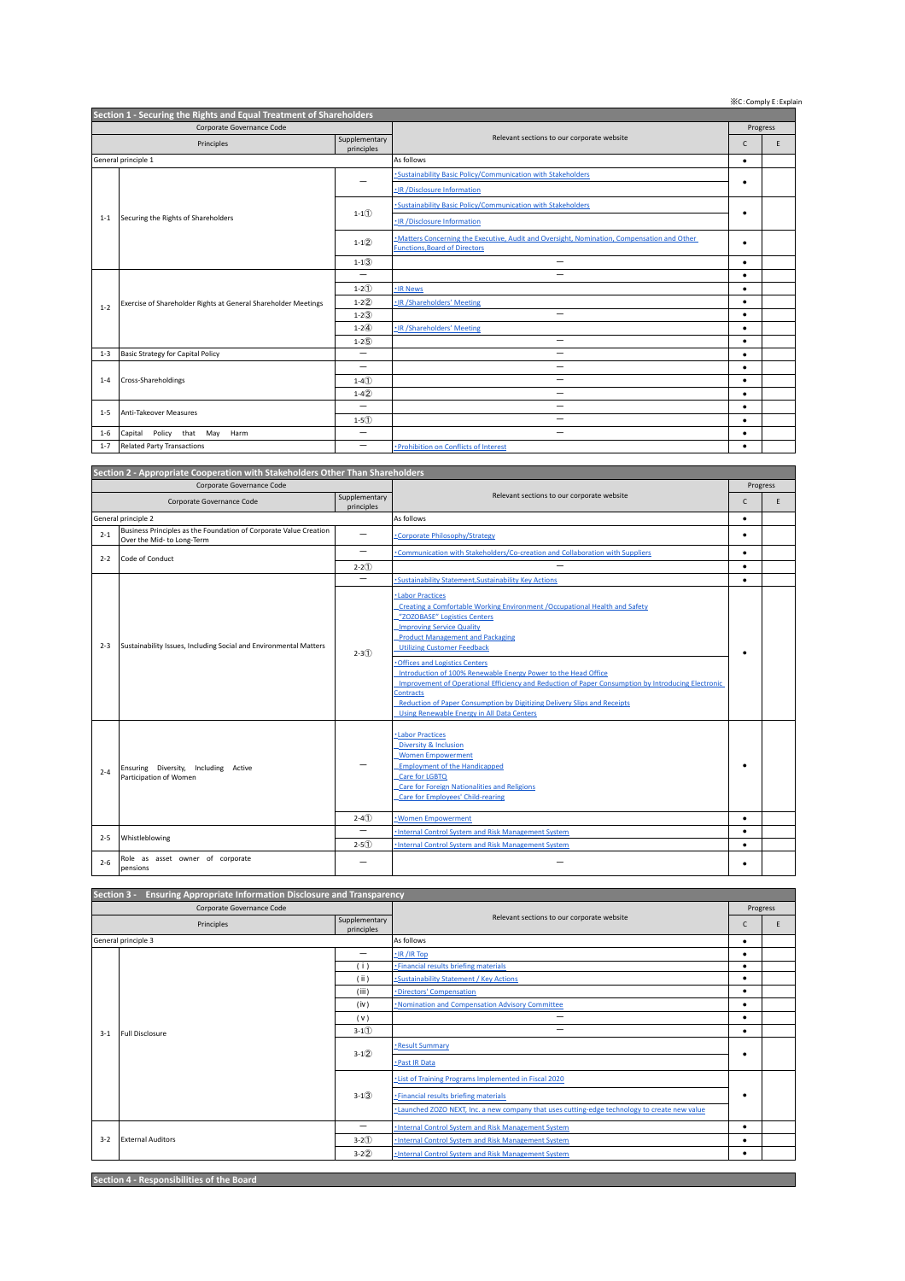※C:Comply E:Explain

| Section 1 - Securing the Rights and Equal Treatment of Shareholders |                                                                |               |                                                                                                                                    |              |   |  |  |
|---------------------------------------------------------------------|----------------------------------------------------------------|---------------|------------------------------------------------------------------------------------------------------------------------------------|--------------|---|--|--|
| Corporate Governance Code                                           |                                                                |               |                                                                                                                                    | Progress     |   |  |  |
| Principles<br>principles                                            |                                                                | Supplementary | Relevant sections to our corporate website                                                                                         | $\mathsf{C}$ | E |  |  |
| General principle 1                                                 |                                                                |               | As follows                                                                                                                         | $\bullet$    |   |  |  |
|                                                                     | Securing the Rights of Shareholders                            |               | -Sustainability Basic Policy/Communication with Stakeholders                                                                       |              |   |  |  |
|                                                                     |                                                                |               | -IR /Disclosure Information                                                                                                        | ٠            |   |  |  |
|                                                                     |                                                                | $1 - 1(1)$    | -Sustainability Basic Policy/Communication with Stakeholders                                                                       |              |   |  |  |
| $1 - 1$                                                             |                                                                |               | -IR/Disclosure Information                                                                                                         | ٠            |   |  |  |
|                                                                     |                                                                | $1 - 1(2)$    | -Matters Concerning the Executive, Audit and Oversight, Nomination, Compensation and Other<br><b>Functions, Board of Directors</b> | ٠            |   |  |  |
|                                                                     |                                                                |               |                                                                                                                                    |              |   |  |  |
|                                                                     |                                                                | $1 - 13$      | -                                                                                                                                  | ٠            |   |  |  |
|                                                                     | Exercise of Shareholder Rights at General Shareholder Meetings | -             | -                                                                                                                                  | ٠            |   |  |  |
|                                                                     |                                                                | $1 - 2(1)$    | -IR News                                                                                                                           | $\bullet$    |   |  |  |
| $1 - 2$                                                             |                                                                | $1 - 2(2)$    | -IR/Shareholders' Meeting                                                                                                          | ٠            |   |  |  |
|                                                                     |                                                                | $1 - 2(3)$    | $\overline{\phantom{0}}$                                                                                                           | ٠            |   |  |  |
|                                                                     |                                                                | $1 - 2(4)$    | .IR /Shareholders' Meeting                                                                                                         | $\bullet$    |   |  |  |
|                                                                     |                                                                | $1 - 2(5)$    | -                                                                                                                                  | $\bullet$    |   |  |  |
| $1 - 3$                                                             | Basic Strategy for Capital Policy                              | -             | -                                                                                                                                  | $\bullet$    |   |  |  |
|                                                                     | Cross-Shareholdings                                            | -             | -                                                                                                                                  | $\bullet$    |   |  |  |
| $1 - 4$                                                             |                                                                | $1 - 4(1)$    | $\overline{\phantom{0}}$                                                                                                           | $\bullet$    |   |  |  |
|                                                                     |                                                                | $1-4(2)$      | $\overline{\phantom{0}}$                                                                                                           | $\bullet$    |   |  |  |
| $1 - 5$                                                             | Anti-Takeover Measures                                         | -             | -                                                                                                                                  | ٠            |   |  |  |
|                                                                     |                                                                | $1 - 5(1)$    | -                                                                                                                                  | $\bullet$    |   |  |  |
| $1 - 6$                                                             | Policy that May<br>Capital<br>Harm                             | -             | -                                                                                                                                  | $\bullet$    |   |  |  |
| $1 - 7$                                                             | <b>Related Party Transactions</b>                              | -             | · Prohibition on Conflicts of Interest                                                                                             | ٠            |   |  |  |

| Section 2 - Appropriate Cooperation with Stakeholders Other Than Shareholders |                                                                                                 |                             |                                                                                                                                                                                                                                                                                                                                                                                                                                                                    |           |   |  |  |
|-------------------------------------------------------------------------------|-------------------------------------------------------------------------------------------------|-----------------------------|--------------------------------------------------------------------------------------------------------------------------------------------------------------------------------------------------------------------------------------------------------------------------------------------------------------------------------------------------------------------------------------------------------------------------------------------------------------------|-----------|---|--|--|
| Corporate Governance Code                                                     |                                                                                                 |                             |                                                                                                                                                                                                                                                                                                                                                                                                                                                                    | Progress  |   |  |  |
| Corporate Governance Code                                                     |                                                                                                 | Supplementary<br>principles | Relevant sections to our corporate website                                                                                                                                                                                                                                                                                                                                                                                                                         | C         | E |  |  |
| General principle 2                                                           |                                                                                                 |                             | As follows                                                                                                                                                                                                                                                                                                                                                                                                                                                         | $\bullet$ |   |  |  |
| $2 - 1$                                                                       | Business Principles as the Foundation of Corporate Value Creation<br>Over the Mid- to Long-Term |                             | Corporate Philosophy/Strategy                                                                                                                                                                                                                                                                                                                                                                                                                                      | ٠         |   |  |  |
| $2 - 2$                                                                       | Code of Conduct                                                                                 | —                           | Communication with Stakeholders/Co-creation and Collaboration with Suppliers                                                                                                                                                                                                                                                                                                                                                                                       | $\bullet$ |   |  |  |
|                                                                               |                                                                                                 | $2 - 2(1)$                  |                                                                                                                                                                                                                                                                                                                                                                                                                                                                    | $\bullet$ |   |  |  |
|                                                                               |                                                                                                 |                             | · Sustainability Statement. Sustainability Key Actions                                                                                                                                                                                                                                                                                                                                                                                                             | ٠         |   |  |  |
| $2 - 3$                                                                       | Sustainability Issues, Including Social and Environmental Matters                               | $2 - 3(1)$                  | Labor Practices<br>Creating a Comfortable Working Environment /Occupational Health and Safety<br>"ZOZOBASE" Logistics Centers<br><b>Improving Service Quality</b><br><b>Product Management and Packaging</b><br><b>Utilizing Customer Feedback</b><br><b>Offices and Logistics Centers</b><br>Introduction of 100% Renewable Energy Power to the Head Office<br>Improvement of Operational Efficiency and Reduction of Paper Consumption by Introducing Electronic |           |   |  |  |
|                                                                               |                                                                                                 |                             | <b>Contracts</b><br><b>Reduction of Paper Consumption by Digitizing Delivery Slips and Receipts</b><br><b>Using Renewable Energy in All Data Centers</b>                                                                                                                                                                                                                                                                                                           |           |   |  |  |
| $2 - 4$                                                                       | Ensuring Diversity, Including Active<br>Participation of Women                                  |                             | ·Labor Practices<br><b>Diversity &amp; Inclusion</b><br><b>Women Empowerment</b><br><b>Employment of the Handicapped</b><br>Care for LGBTQ<br><b>Care for Foreign Nationalities and Religions</b><br><b>Care for Employees' Child-rearing</b>                                                                                                                                                                                                                      | ٠         |   |  |  |
|                                                                               |                                                                                                 | $2 - 4(1)$                  | · Women Empowerment                                                                                                                                                                                                                                                                                                                                                                                                                                                | $\bullet$ |   |  |  |
| $2 - 5$                                                                       | Whistleblowing                                                                                  | -                           | Internal Control System and Risk Management System                                                                                                                                                                                                                                                                                                                                                                                                                 | $\bullet$ |   |  |  |
|                                                                               |                                                                                                 | $2 - 5(1)$                  | · Internal Control System and Risk Management System                                                                                                                                                                                                                                                                                                                                                                                                               | ٠         |   |  |  |
| $2 - 6$                                                                       | Role as asset owner of corporate<br>pensions                                                    |                             |                                                                                                                                                                                                                                                                                                                                                                                                                                                                    | ٠         |   |  |  |

| Section 3 -<br>Ensuring Appropriate Information Disclosure and Transparency |                          |                             |                                                                                               |           |  |  |  |
|-----------------------------------------------------------------------------|--------------------------|-----------------------------|-----------------------------------------------------------------------------------------------|-----------|--|--|--|
| Corporate Governance Code                                                   |                          |                             |                                                                                               | Progress  |  |  |  |
| Principles                                                                  |                          | Supplementary<br>principles | Relevant sections to our corporate website                                                    | Ċ         |  |  |  |
| General principle 3                                                         |                          |                             | As follows                                                                                    | ٠         |  |  |  |
|                                                                             | Full Disclosure          | -                           | $\cdot$ IR /IR Top                                                                            | ٠         |  |  |  |
|                                                                             |                          | (i)                         | · Financial results briefing materials                                                        |           |  |  |  |
|                                                                             |                          | (i)                         | -Sustainability Statement / Key Actions                                                       | ٠         |  |  |  |
|                                                                             |                          | (iii)                       | ·Directors' Compensation                                                                      | $\bullet$ |  |  |  |
|                                                                             |                          | (iv)                        | . Nomination and Compensation Advisory Committee                                              |           |  |  |  |
|                                                                             |                          | (v)                         |                                                                                               |           |  |  |  |
| $3 - 1$                                                                     |                          | $3-1(1)$                    | -                                                                                             | $\bullet$ |  |  |  |
|                                                                             |                          | $3-1(2)$                    | -Result Summary                                                                               | ٠         |  |  |  |
|                                                                             |                          |                             | · Past IR Data                                                                                |           |  |  |  |
|                                                                             |                          | $3-1(3)$                    | -List of Training Programs Implemented in Fiscal 2020                                         |           |  |  |  |
|                                                                             |                          |                             | -Financial results briefing materials                                                         | ٠         |  |  |  |
|                                                                             |                          |                             | -Launched ZOZO NEXT, Inc. a new company that uses cutting-edge technology to create new value |           |  |  |  |
|                                                                             | <b>External Auditors</b> |                             | -Internal Control System and Risk Management System                                           | $\bullet$ |  |  |  |
| $3 - 2$                                                                     |                          | $3-2(1)$                    | -Internal Control System and Risk Management System                                           | $\bullet$ |  |  |  |
|                                                                             |                          | $3 - 2(2)$                  | -Internal Control System and Risk Management System                                           |           |  |  |  |

**Section 4 - Responsibilities of the Board**